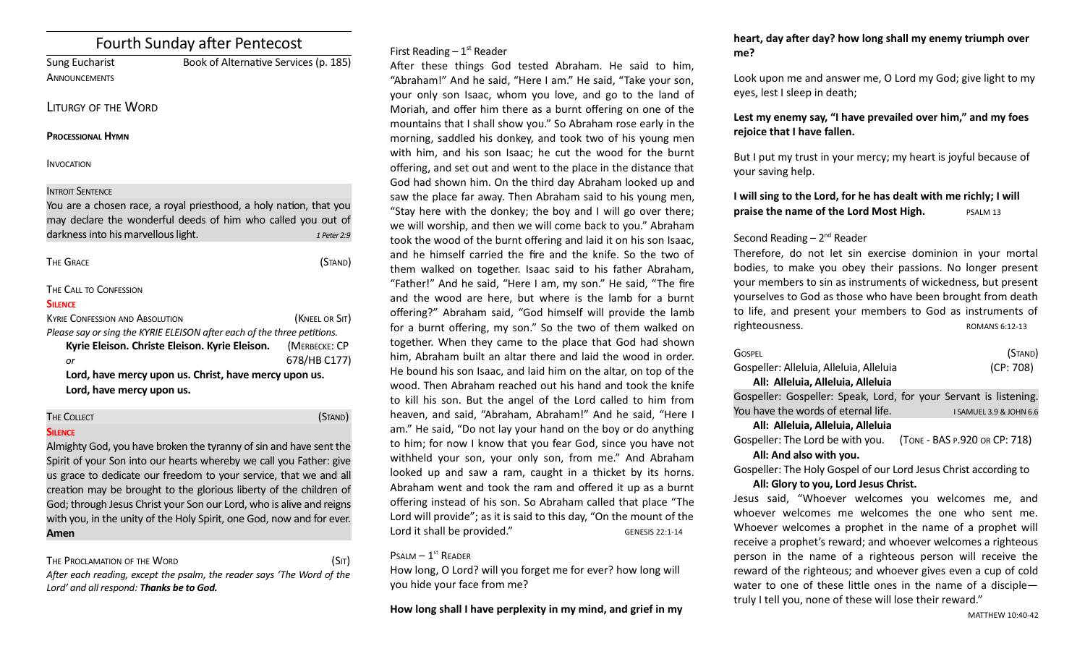# Fourth Sunday after Pentecost

Sung Eucharist Book of Alternative Services (p. 185) **ANNOUNCEMENTS** 

## LITURGY OF THE WORD

#### **PROCESSIONAL HYMN**

#### **INVOCATION**

## **INTROIT SENTENCE**

You are a chosen race, a royal priesthood, a holy nation, that you may declare the wonderful deeds of him who called you out of darkness into his marvellous light. *1 Peter 2:9* 

| The Grace                                                               | (Stand)        |
|-------------------------------------------------------------------------|----------------|
| THE CALL TO CONFESSION                                                  |                |
| <b>SILENCE</b>                                                          |                |
| <b>KYRIE CONFESSION AND ABSOLUTION</b>                                  | (KNEEL OR SIT) |
| Please say or sing the KYRIE ELEISON after each of the three petitions. |                |
| Kyrie Eleison. Christe Eleison. Kyrie Eleison.                          | (MERBECKE: CP  |
| or                                                                      | 678/HB C177)   |
| Lord, have mercy upon us. Christ, have mercy upon us.                   |                |
| Lord, have mercy upon us.                                               |                |

## THE COLLECT **THE COLLECT COLLECT COLLECT COLLECT COLLECT COLLECT COLLECT COLLECT COLLECT COLLECT**

## **SILENCE**

Almighty God, you have broken the tyranny of sin and have sent the Spirit of your Son into our hearts whereby we call you Father: give us grace to dedicate our freedom to your service, that we and all creation may be brought to the glorious liberty of the children of God; through Jesus Christ your Son our Lord, who is alive and reigns with you, in the unity of the Holy Spirit, one God, now and for ever. **Amen**

## THE PROCLAMATION OF THE WORD (SIT) *Afer each reading, except the psalm, the reader says 'The Word of the Lord' and all respond: Thanks be to God.*

First Reading  $-1<sup>st</sup>$  Reader

Afer these things God tested Abraham. He said to him, "Abraham!" And he said, "Here I am." He said, "Take your son, your only son Isaac, whom you love, and go to the land of Moriah, and offer him there as a burnt offering on one of the mountains that I shall show you." So Abraham rose early in the morning, saddled his donkey, and took two of his young men with him, and his son Isaac; he cut the wood for the burnt offering, and set out and went to the place in the distance that God had shown him. On the third day Abraham looked up and saw the place far away. Then Abraham said to his young men, "Stay here with the donkey; the boy and I will go over there; we will worship, and then we will come back to you." Abraham took the wood of the burnt offering and laid it on his son Isaac, and he himself carried the fre and the knife. So the two of them walked on together. Isaac said to his father Abraham, "Father!" And he said, "Here I am, my son." He said, "The fre and the wood are here, but where is the lamb for a burnt ofering?" Abraham said, "God himself will provide the lamb for a burnt offering, my son." So the two of them walked on together. When they came to the place that God had shown him, Abraham built an altar there and laid the wood in order. He bound his son Isaac, and laid him on the altar, on top of the wood. Then Abraham reached out his hand and took the knife to kill his son. But the angel of the Lord called to him from heaven, and said, "Abraham, Abraham!" And he said, "Here I am." He said, "Do not lay your hand on the boy or do anything to him; for now I know that you fear God, since you have not withheld your son, your only son, from me." And Abraham looked up and saw a ram, caught in a thicket by its horns. Abraham went and took the ram and ofered it up as a burnt ofering instead of his son. So Abraham called that place "The Lord will provide"; as it is said to this day, "On the mount of the Lord it shall be provided." GENESIS 22:1-14

## $P$ SALM  $-1$ <sup>ST</sup> READER

How long, O Lord? will you forget me for ever? how long will you hide your face from me?

**How long shall I have perplexity in my mind, and grief in my** 

## **heart, day after day? how long shall my enemy triumph over me?**

Look upon me and answer me, O Lord my God; give light to my eyes, lest I sleep in death;

## **Lest my enemy say, "I have prevailed over him," and my foes rejoice that I have fallen.**

But I put my trust in your mercy; my heart is joyful because of your saving help.

## **I will sing to the Lord, for he has dealt with me richly; I will praise the name of the Lord Most High.** PSALM 13

## Second Reading  $-2^{nd}$  Reader

Therefore, do not let sin exercise dominion in your mortal bodies, to make you obey their passions. No longer present your members to sin as instruments of wickedness, but present yourselves to God as those who have been brought from death to life, and present your members to God as instruments of righteousness. The community of the ROMANS 6:12-13

| Gospel                                                            | (STAND)                 |  |
|-------------------------------------------------------------------|-------------------------|--|
| Gospeller: Alleluia, Alleluia, Alleluia                           | (CP: 708)               |  |
| All: Alleluia, Alleluia, Alleluia                                 |                         |  |
| Gospeller: Gospeller: Speak, Lord, for your Servant is listening. |                         |  |
| You have the words of eternal life.                               | I SAMUEL 3.9 & JOHN 6.6 |  |
| All: Alleluia, Alleluia, Alleluia                                 |                         |  |
| Gospeller: The Lord be with you. (TONE - BAS P.920 OR CP: 718)    |                         |  |
| All: And also with you.                                           |                         |  |
| Gospeller: The Holy Gospel of our Lord Jesus Christ according to  |                         |  |
| All: Glory to you, Lord Jesus Christ.                             |                         |  |
| Jesus said, "Whoever welcomes you welcomes me, and                |                         |  |
|                                                                   |                         |  |

whoever welcomes me welcomes the one who sent me. Whoever welcomes a prophet in the name of a prophet will receive a prophet's reward; and whoever welcomes a righteous person in the name of a righteous person will receive the reward of the righteous; and whoever gives even a cup of cold water to one of these little ones in the name of a discipletruly I tell you, none of these will lose their reward."